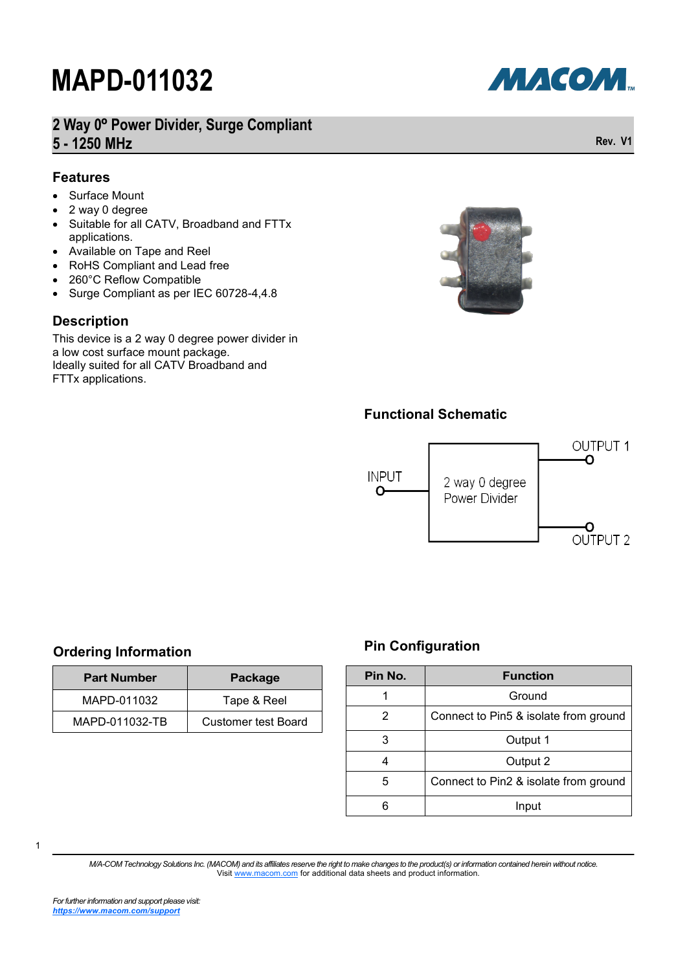**2 Way 0º Power Divider, Surge Compliant 5 - 1250 MHz**

#### **Features**

- Surface Mount
- 2 way 0 degree
- Suitable for all CATV, Broadband and FTTx applications.
- Available on Tape and Reel
- RoHS Compliant and Lead free
- 260°C Reflow Compatible
- Surge Compliant as per IEC 60728-4,4.8

#### **Description**

This device is a 2 way 0 degree power divider in a low cost surface mount package. Ideally suited for all CATV Broadband and FTTx applications.



#### **Functional Schematic**



#### **Ordering Information**

| <b>Part Number</b> | Package                    |
|--------------------|----------------------------|
| MAPD-011032        | Tape & Reel                |
| MAPD-011032-TB     | <b>Customer test Board</b> |

#### **Pin Configuration**

| Pin No. | <b>Function</b>                       |  |
|---------|---------------------------------------|--|
|         | Ground                                |  |
| 2       | Connect to Pin5 & isolate from ground |  |
| 3       | Output 1                              |  |
| 4       | Output 2                              |  |
| 5       | Connect to Pin2 & isolate from ground |  |
|         | Input                                 |  |

1

*M/A-COM Technology Solutions Inc. (MACOM) and its affiliates reserve the right to make changes to the product(s) or information contained herein without notice.*  Visit [www.macom.com](http://www.macom.com/) for additional data sheets and product information.

МАСОМ.

**Rev. V1**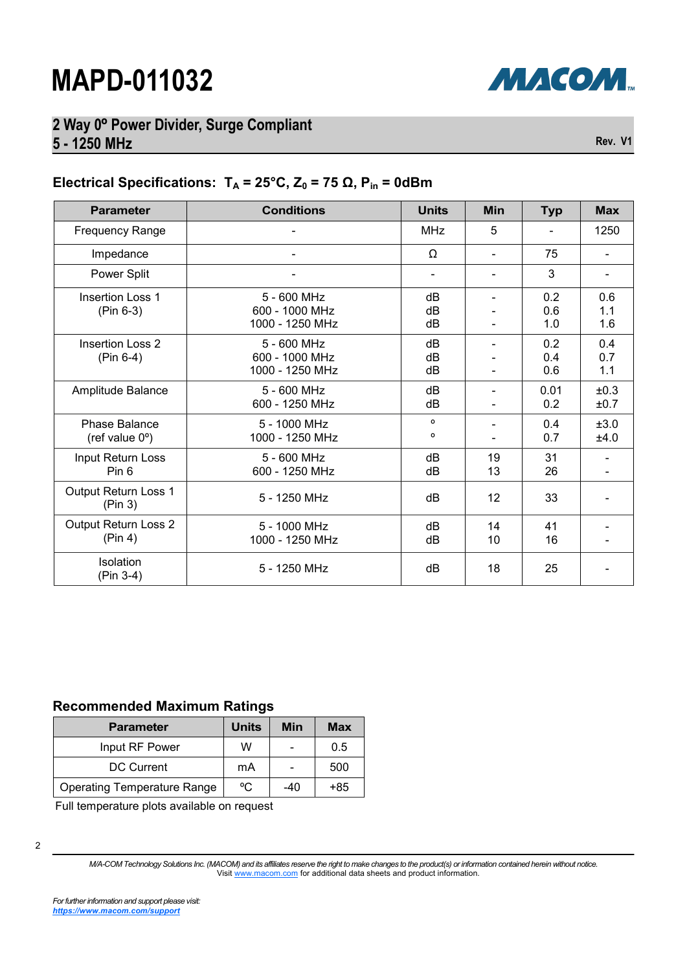

## **2 Way 0º Power Divider, Surge Compliant 5 - 1250 MHz**

**Rev. V1**

### **Electrical Specifications:**  $T_A = 25^\circ \text{C}$ ,  $Z_0 = 75 \Omega$ ,  $P_{in} = 0d$ Bm

| <b>Parameter</b>                                 | <b>Conditions</b>                                | <b>Units</b>       | <b>Min</b>     | <b>Typ</b>        | <b>Max</b>               |
|--------------------------------------------------|--------------------------------------------------|--------------------|----------------|-------------------|--------------------------|
| <b>Frequency Range</b>                           |                                                  | <b>MHz</b>         | 5              |                   | 1250                     |
| Impedance                                        |                                                  | Ω                  | $\blacksquare$ | 75                |                          |
| Power Split                                      |                                                  |                    |                | 3                 | $\overline{\phantom{0}}$ |
| <b>Insertion Loss 1</b><br>$(Pin 6-3)$           | 5 - 600 MHz<br>600 - 1000 MHz<br>1000 - 1250 MHz | dB<br>dB<br>dB     |                | 0.2<br>0.6<br>1.0 | 0.6<br>1.1<br>1.6        |
| <b>Insertion Loss 2</b><br>$(Pin 6-4)$           | 5 - 600 MHz<br>600 - 1000 MHz<br>1000 - 1250 MHz | dB<br>dB<br>dB     |                | 0.2<br>0.4<br>0.6 | 0.4<br>0.7<br>1.1        |
| Amplitude Balance                                | 5 - 600 MHz<br>600 - 1250 MHz                    | dB<br>dB           |                | 0.01<br>0.2       | ±0.3<br>±0.7             |
| <b>Phase Balance</b><br>(ref value $0^{\circ}$ ) | 5 - 1000 MHz<br>1000 - 1250 MHz                  | $\circ$<br>$\circ$ |                | 0.4<br>0.7        | ±3.0<br>±4.0             |
| Input Return Loss<br>Pin 6                       | 5 - 600 MHz<br>600 - 1250 MHz                    | dB<br>dB           | 19<br>13       | 31<br>26          |                          |
| Output Return Loss 1<br>(Pin 3)                  | 5 - 1250 MHz                                     | dB                 | 12             | 33                |                          |
| Output Return Loss 2<br>(Pin 4)                  | 5 - 1000 MHz<br>1000 - 1250 MHz                  | dB<br>dB           | 14<br>10       | 41<br>16          |                          |
| Isolation<br>(Pin 3-4)                           | 5 - 1250 MHz                                     | dB                 | 18             | 25                |                          |

#### **Recommended Maximum Ratings**

| <b>Parameter</b>                   | <b>Units</b> | Min   | <b>Max</b> |
|------------------------------------|--------------|-------|------------|
| Input RF Power                     | w            |       | 0.5        |
| <b>DC Current</b>                  | mA           |       | 500        |
| <b>Operating Temperature Range</b> | °C           | $-40$ | $+85$      |

Full temperature plots available on request

*M/A-COM Technology Solutions Inc. (MACOM) and its affiliates reserve the right to make changes to the product(s) or information contained herein without notice.*  Visit [www.macom.com](http://www.macom.com/) for additional data sheets and product information.

<sup>2</sup>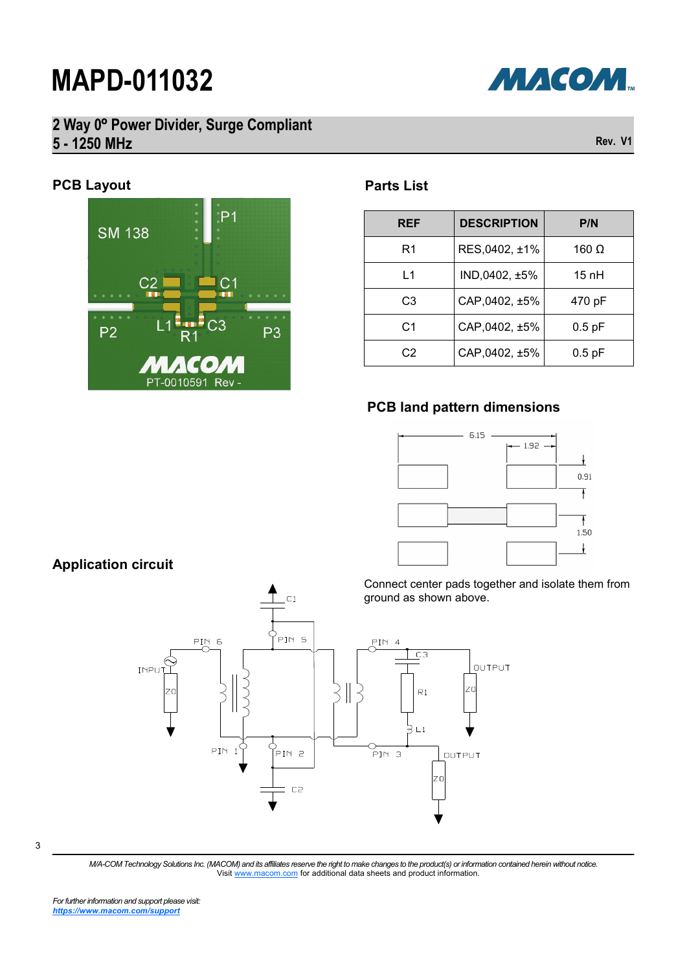

## **2 Way 0º Power Divider, Surge Compliant 5 - 1250 MHz**

### **PCB Layout**

 $P<sub>1</sub>$ **SM 138**  $P<sub>2</sub>$ P3 **CO** PT-0010591 Rev

### **Parts List**

| <b>REF</b>     | <b>DESCRIPTION</b> | P/N          |
|----------------|--------------------|--------------|
| R1             | RES,0402, ±1%      | 160 $\Omega$ |
| L1             | IND,0402, ±5%      | $15$ nH      |
| C3             | CAP,0402, ±5%      | 470 pF       |
| C <sub>1</sub> | CAP,0402, ±5%      | $0.5$ pF     |
| C2             | CAP,0402, ±5%      | $0.5$ pF     |

#### **PCB land pattern dimensions**



Connect center pads together and isolate them from ground as shown above.



 $\overline{C}1$ 

3

*M/A-COM Technology Solutions Inc. (MACOM) and its affiliates reserve the right to make changes to the product(s) or information contained herein without notice.*  Visit [www.macom.com](http://www.macom.com/) for additional data sheets and product information.

**Application circuit**



**Rev. V1**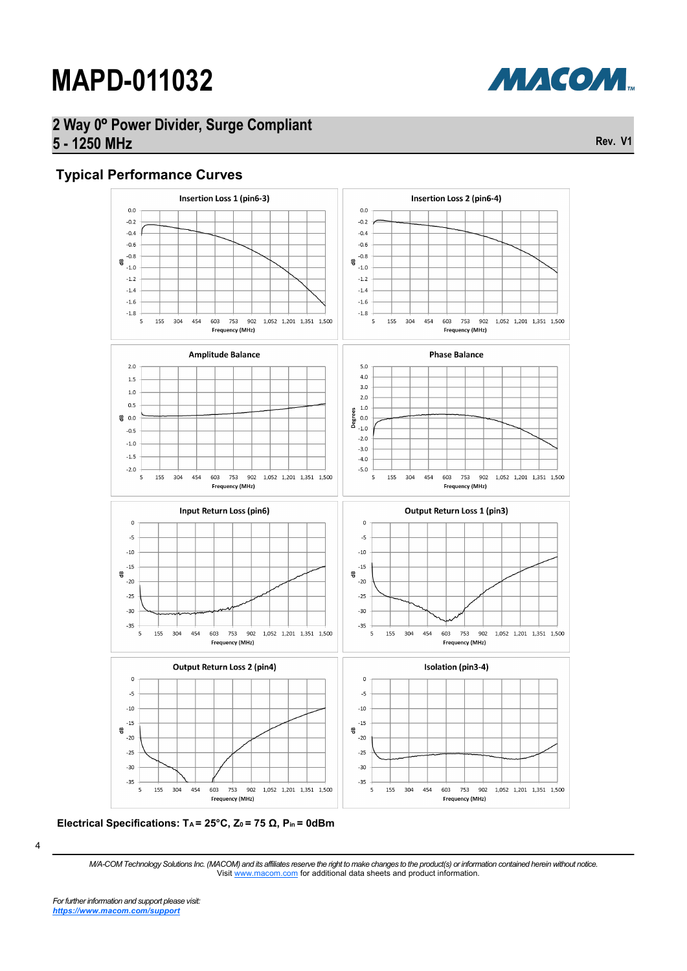

### **2 Way 0º Power Divider, Surge Compliant 5 - 1250 MHz**

#### **Typical Performance Curves**





<sup>4</sup>

*M/A-COM Technology Solutions Inc. (MACOM) and its affiliates reserve the right to make changes to the product(s) or information contained herein without notice.*  Visit [www.macom.com](http://www.macom.com/) for additional data sheets and product information.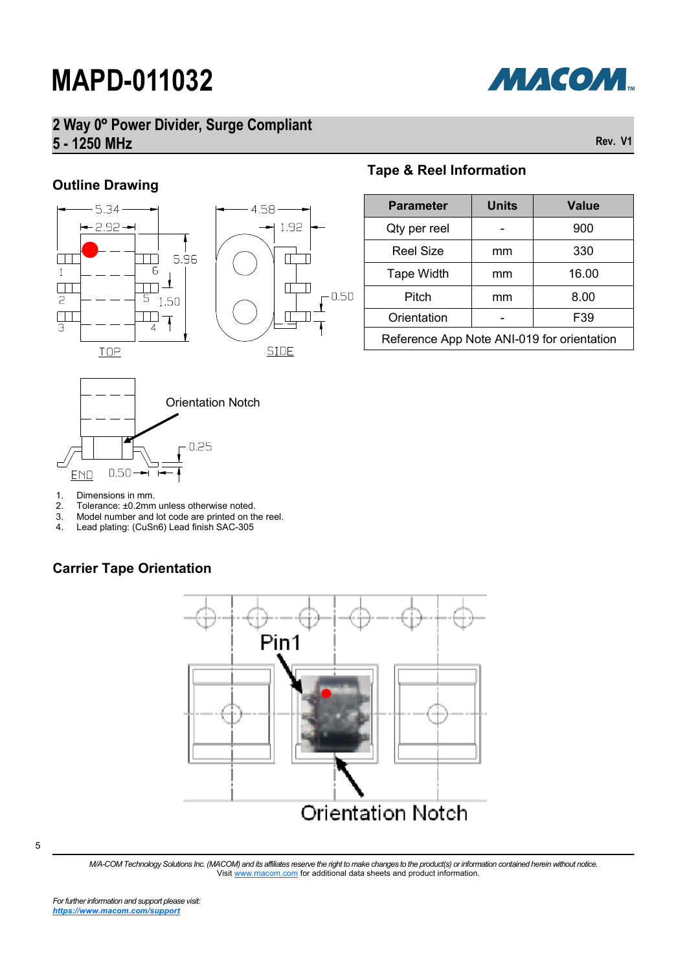

## **2 Way 0º Power Divider, Surge Compliant 5 - 1250 MHz**

**Rev. V1**

### **Outline Drawing**







#### **Tape & Reel Information**

| <b>Parameter</b>                           | <b>Units</b> | <b>Value</b> |  |
|--------------------------------------------|--------------|--------------|--|
| Qty per reel                               |              | 900          |  |
| <b>Reel Size</b>                           | mm           | 330          |  |
| <b>Tape Width</b>                          | mm           | 16.00        |  |
| Pitch                                      | mm           | 8.00         |  |
| Orientation                                |              | F39          |  |
| Reference App Note ANI-019 for orientation |              |              |  |

- 
- 1. Dimensions in mm.<br>2. Tolerance: ±0.2mm 2. Tolerance: ±0.2mm unless otherwise noted.<br>3. Model number and lot code are printed on the
- 3. Model number and lot code are printed on the reel.<br>4. Lead plating: (CuSn6) Lead finish SAC-305
- Lead plating: (CuSn6) Lead finish SAC-305

### **Carrier Tape Orientation**



*M/A-COM Technology Solutions Inc. (MACOM) and its affiliates reserve the right to make changes to the product(s) or information contained herein without notice.*  Visit [www.macom.com](http://www.macom.com/) for additional data sheets and product information.